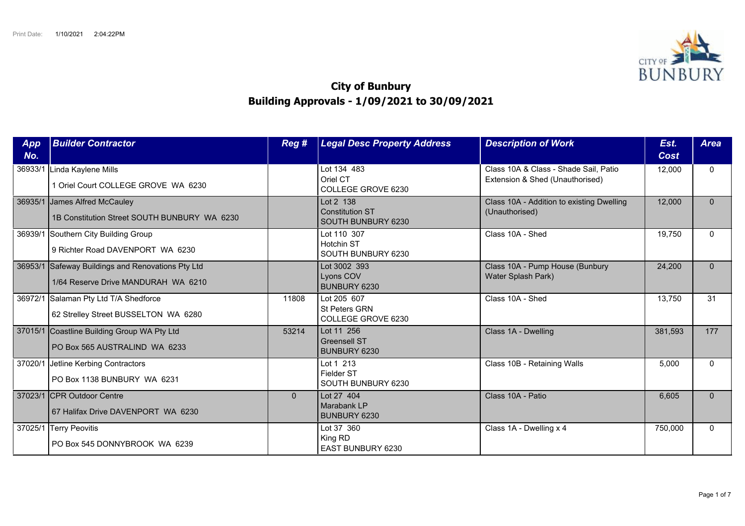

## **City of Bunbury Building Approvals - 1/09/2021 to 30/09/2021**

| App<br>No. | <b>Builder Contractor</b>                                                        | Reg #    | <b>Legal Desc Property Address</b>                        | <b>Description of Work</b>                                               | Est.<br>Cost | <b>Area</b> |
|------------|----------------------------------------------------------------------------------|----------|-----------------------------------------------------------|--------------------------------------------------------------------------|--------------|-------------|
| 36933/1    | Linda Kaylene Mills<br>1 Oriel Court COLLEGE GROVE WA 6230                       |          | Lot 134 483<br>Oriel CT<br>COLLEGE GROVE 6230             | Class 10A & Class - Shade Sail, Patio<br>Extension & Shed (Unauthorised) | 12,000       | $\Omega$    |
|            | 36935/1 James Alfred McCauley<br>1B Constitution Street SOUTH BUNBURY WA 6230    |          | Lot 2 138<br><b>Constitution ST</b><br>SOUTH BUNBURY 6230 | Class 10A - Addition to existing Dwelling<br>(Unauthorised)              | 12,000       | $\Omega$    |
|            | 36939/1 Southern City Building Group<br>9 Richter Road DAVENPORT WA 6230         |          | Lot 110 307<br>Hotchin ST<br>SOUTH BUNBURY 6230           | Class 10A - Shed                                                         | 19,750       | $\Omega$    |
| 36953/1    | Safeway Buildings and Renovations Pty Ltd<br>1/64 Reserve Drive MANDURAH WA 6210 |          | Lot 3002 393<br>Lyons COV<br>BUNBURY 6230                 | Class 10A - Pump House (Bunbury<br>Water Splash Park)                    | 24,200       | $\Omega$    |
|            | 36972/1 Salaman Pty Ltd T/A Shedforce<br>62 Strelley Street BUSSELTON WA 6280    | 11808    | Lot 205 607<br>St Peters GRN<br>COLLEGE GROVE 6230        | Class 10A - Shed                                                         | 13,750       | 31          |
|            | 37015/1 Coastline Building Group WA Pty Ltd<br>PO Box 565 AUSTRALIND WA 6233     | 53214    | Lot 11 256<br><b>Greensell ST</b><br>BUNBURY 6230         | Class 1A - Dwelling                                                      | 381,593      | 177         |
|            | 37020/1 Jetline Kerbing Contractors<br>PO Box 1138 BUNBURY WA 6231               |          | Lot 1 213<br>Fielder ST<br>SOUTH BUNBURY 6230             | Class 10B - Retaining Walls                                              | 5,000        | $\Omega$    |
|            | 37023/1 CPR Outdoor Centre<br>67 Halifax Drive DAVENPORT WA 6230                 | $\Omega$ | Lot 27 404<br>Marabank LP<br>BUNBURY 6230                 | Class 10A - Patio                                                        | 6,605        | $\Omega$    |
|            | 37025/1 Terry Peovitis<br>PO Box 545 DONNYBROOK WA 6239                          |          | Lot 37 360<br>King RD<br>EAST BUNBURY 6230                | Class 1A - Dwelling x 4                                                  | 750,000      | $\Omega$    |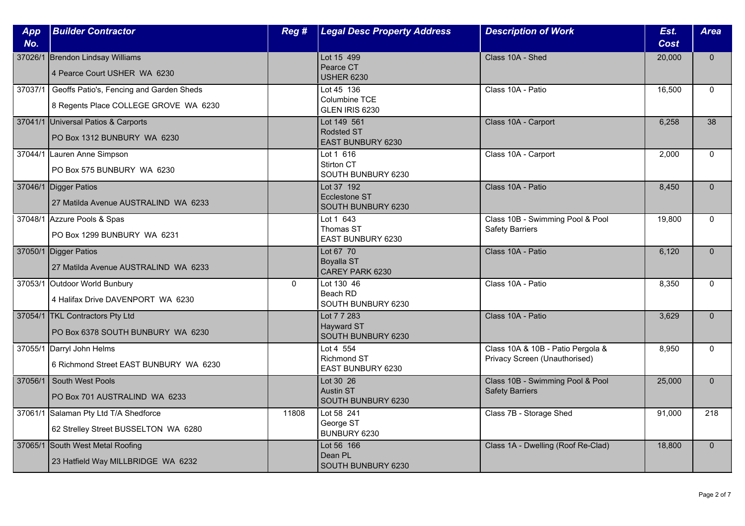| App<br>No. | <b>Builder Contractor</b>                                                                 | Reg #        | <b>Legal Desc Property Address</b>                           | <b>Description of Work</b>                                         | Est.<br><b>Cost</b> | <b>Area</b>  |
|------------|-------------------------------------------------------------------------------------------|--------------|--------------------------------------------------------------|--------------------------------------------------------------------|---------------------|--------------|
|            | 37026/1 Brendon Lindsay Williams                                                          |              | Lot 15 499                                                   | Class 10A - Shed                                                   | 20,000              | $\mathbf{0}$ |
|            | 4 Pearce Court USHER WA 6230                                                              |              | Pearce CT<br><b>USHER 6230</b>                               |                                                                    |                     |              |
|            | 37037/1 Geoffs Patio's, Fencing and Garden Sheds<br>8 Regents Place COLLEGE GROVE WA 6230 |              | Lot 45 136<br>Columbine TCE<br>GLEN IRIS 6230                | Class 10A - Patio                                                  | 16,500              | $\Omega$     |
|            | 37041/1 Universal Patios & Carports<br>PO Box 1312 BUNBURY WA 6230                        |              | Lot 149 561<br><b>Rodsted ST</b><br><b>EAST BUNBURY 6230</b> | Class 10A - Carport                                                | 6,258               | 38           |
|            | 37044/1 Lauren Anne Simpson<br>PO Box 575 BUNBURY WA 6230                                 |              | Lot 1 616<br>Stirton CT<br>SOUTH BUNBURY 6230                | Class 10A - Carport                                                | 2,000               | $\mathbf{0}$ |
|            | 37046/1 Digger Patios<br>27 Matilda Avenue AUSTRALIND WA 6233                             |              | Lot 37 192<br>Ecclestone ST<br>SOUTH BUNBURY 6230            | Class 10A - Patio                                                  | 8,450               | $\Omega$     |
|            | 37048/1 Azzure Pools & Spas<br>PO Box 1299 BUNBURY WA 6231                                |              | Lot 1 643<br>Thomas ST<br>EAST BUNBURY 6230                  | Class 10B - Swimming Pool & Pool<br><b>Safety Barriers</b>         | 19,800              | $\Omega$     |
|            | 37050/1 Digger Patios<br>27 Matilda Avenue AUSTRALIND WA 6233                             |              | Lot 67 70<br>Boyalla ST<br>CAREY PARK 6230                   | Class 10A - Patio                                                  | 6,120               | $\mathbf{0}$ |
|            | 37053/1 Outdoor World Bunbury<br>4 Halifax Drive DAVENPORT WA 6230                        | $\mathbf{0}$ | Lot 130 46<br>Beach RD<br>SOUTH BUNBURY 6230                 | Class 10A - Patio                                                  | 8,350               | $\mathbf{0}$ |
|            | 37054/1 TKL Contractors Pty Ltd<br>PO Box 6378 SOUTH BUNBURY WA 6230                      |              | Lot 7 7 283<br>Hayward ST<br>SOUTH BUNBURY 6230              | Class 10A - Patio                                                  | 3,629               | $\Omega$     |
|            | 37055/1 Darryl John Helms<br>6 Richmond Street EAST BUNBURY WA 6230                       |              | Lot 4 554<br>Richmond ST<br><b>EAST BUNBURY 6230</b>         | Class 10A & 10B - Patio Pergola &<br>Privacy Screen (Unauthorised) | 8,950               | $\mathbf{0}$ |
|            | 37056/1 South West Pools<br>PO Box 701 AUSTRALIND WA 6233                                 |              | Lot 30 26<br>Austin ST<br>SOUTH BUNBURY 6230                 | Class 10B - Swimming Pool & Pool<br><b>Safety Barriers</b>         | 25,000              | $\mathbf{0}$ |
|            | 37061/1 Salaman Pty Ltd T/A Shedforce<br>62 Strelley Street BUSSELTON WA 6280             | 11808        | Lot 58 241<br>George ST<br>BUNBURY 6230                      | Class 7B - Storage Shed                                            | 91,000              | 218          |
|            | 37065/1 South West Metal Roofing<br>23 Hatfield Way MILLBRIDGE WA 6232                    |              | Lot 56 166<br>Dean PL<br>SOUTH BUNBURY 6230                  | Class 1A - Dwelling (Roof Re-Clad)                                 | 18,800              | $\mathbf{0}$ |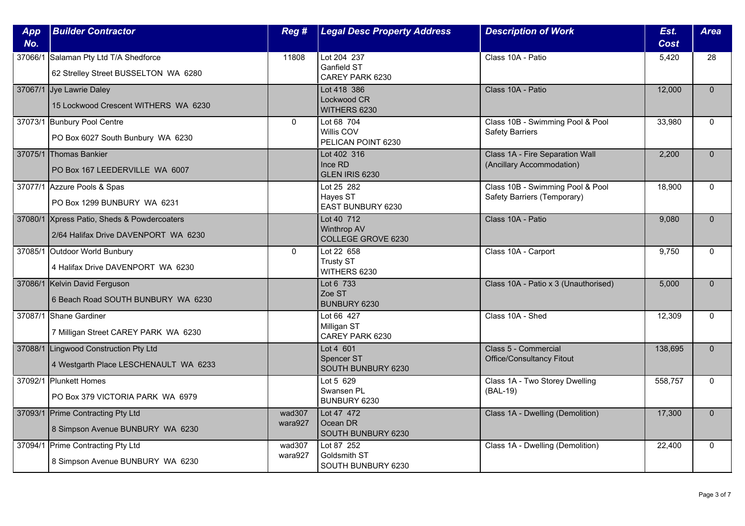| App<br>No. | <b>Builder Contractor</b>                                                           | Reg #             | <b>Legal Desc Property Address</b>                            | <b>Description of Work</b>                                      | Est.<br><b>Cost</b> | <b>Area</b>  |
|------------|-------------------------------------------------------------------------------------|-------------------|---------------------------------------------------------------|-----------------------------------------------------------------|---------------------|--------------|
|            | 37066/1 Salaman Pty Ltd T/A Shedforce<br>62 Strelley Street BUSSELTON WA 6280       | 11808             | Lot 204 237<br><b>Ganfield ST</b><br>CAREY PARK 6230          | Class 10A - Patio                                               | 5,420               | 28           |
|            | 37067/1 Jye Lawrie Daley<br>15 Lockwood Crescent WITHERS WA 6230                    |                   | Lot 418 386<br>Lockwood CR<br>WITHERS 6230                    | Class 10A - Patio                                               | 12,000              | $\Omega$     |
|            | 37073/1 Bunbury Pool Centre<br>PO Box 6027 South Bunbury WA 6230                    | $\mathbf{0}$      | Lot 68 704<br>Willis COV<br>PELICAN POINT 6230                | Class 10B - Swimming Pool & Pool<br><b>Safety Barriers</b>      | 33,980              | $\Omega$     |
|            | 37075/1 Thomas Bankier<br>PO Box 167 LEEDERVILLE WA 6007                            |                   | Lot 402 316<br>Ince RD<br>GLEN IRIS 6230                      | Class 1A - Fire Separation Wall<br>(Ancillary Accommodation)    | 2,200               | $\Omega$     |
|            | 37077/1 Azzure Pools & Spas<br>PO Box 1299 BUNBURY WA 6231                          |                   | Lot 25 282<br>Hayes ST<br>EAST BUNBURY 6230                   | Class 10B - Swimming Pool & Pool<br>Safety Barriers (Temporary) | 18,900              | $\mathbf{0}$ |
|            | 37080/1 Xpress Patio, Sheds & Powdercoaters<br>2/64 Halifax Drive DAVENPORT WA 6230 |                   | Lot 40 712<br><b>Winthrop AV</b><br><b>COLLEGE GROVE 6230</b> | Class 10A - Patio                                               | 9.080               | $\Omega$     |
|            | 37085/1 Outdoor World Bunbury<br>4 Halifax Drive DAVENPORT WA 6230                  | $\mathbf 0$       | Lot 22 658<br><b>Trusty ST</b><br>WITHERS 6230                | Class 10A - Carport                                             | 9,750               | $\Omega$     |
|            | 37086/1 Kelvin David Ferguson<br>6 Beach Road SOUTH BUNBURY WA 6230                 |                   | Lot 6 733<br>Zoe ST<br>BUNBURY 6230                           | Class 10A - Patio x 3 (Unauthorised)                            | 5,000               | $\mathbf{0}$ |
|            | 37087/1 Shane Gardiner<br>7 Milligan Street CAREY PARK WA 6230                      |                   | Lot 66 427<br>Milligan ST<br>CAREY PARK 6230                  | Class 10A - Shed                                                | 12,309              | $\Omega$     |
|            | 37088/1 Lingwood Construction Pty Ltd<br>4 Westgarth Place LESCHENAULT WA 6233      |                   | Lot 4 601<br>Spencer ST<br>SOUTH BUNBURY 6230                 | Class 5 - Commercial<br><b>Office/Consultancy Fitout</b>        | 138,695             | $\mathbf{0}$ |
|            | 37092/1 Plunkett Homes<br>PO Box 379 VICTORIA PARK WA 6979                          |                   | Lot 5 629<br>Swansen PL<br>BUNBURY 6230                       | Class 1A - Two Storey Dwelling<br>(BAL-19)                      | 558,757             | $\mathbf{0}$ |
|            | 37093/1 Prime Contracting Pty Ltd<br>8 Simpson Avenue BUNBURY WA 6230               | wad307<br>wara927 | Lot 47 472<br>Ocean DR<br>SOUTH BUNBURY 6230                  | Class 1A - Dwelling (Demolition)                                | 17,300              | $\Omega$     |
|            | 37094/1 Prime Contracting Pty Ltd<br>8 Simpson Avenue BUNBURY WA 6230               | wad307<br>wara927 | Lot 87 252<br>Goldsmith ST<br>SOUTH BUNBURY 6230              | Class 1A - Dwelling (Demolition)                                | 22,400              | $\mathbf{0}$ |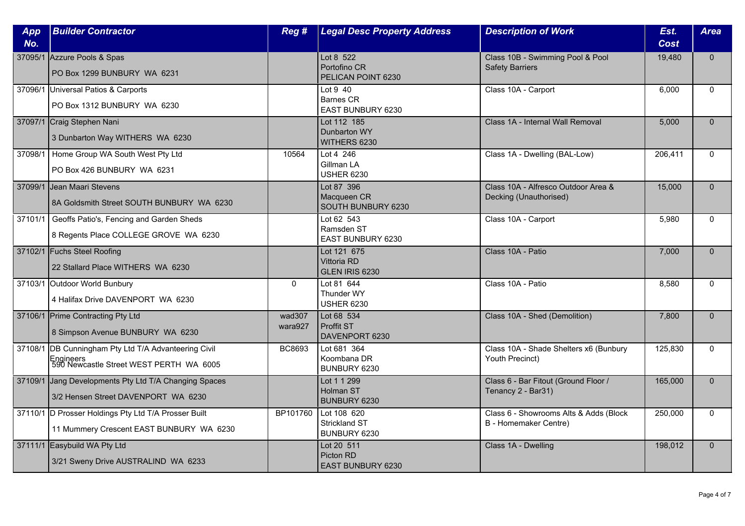| App<br>No. | <b>Builder Contractor</b>                                                                                      | Reg #             | <b>Legal Desc Property Address</b>                  | <b>Description of Work</b>                                             | Est.<br><b>Cost</b> | <b>Area</b>  |
|------------|----------------------------------------------------------------------------------------------------------------|-------------------|-----------------------------------------------------|------------------------------------------------------------------------|---------------------|--------------|
|            | 37095/1 Azzure Pools & Spas<br>PO Box 1299 BUNBURY WA 6231                                                     |                   | Lot 8 522<br>Portofino CR<br>PELICAN POINT 6230     | Class 10B - Swimming Pool & Pool<br><b>Safety Barriers</b>             | 19,480              | $\Omega$     |
|            | 37096/1 Universal Patios & Carports<br>PO Box 1312 BUNBURY WA 6230                                             |                   | Lot 9 40<br><b>Barnes CR</b><br>EAST BUNBURY 6230   | Class 10A - Carport                                                    | 6,000               | $\mathbf{0}$ |
|            | 37097/1 Craig Stephen Nani<br>3 Dunbarton Way WITHERS WA 6230                                                  |                   | Lot 112 185<br>Dunbarton WY<br>WITHERS 6230         | Class 1A - Internal Wall Removal                                       | 5,000               | $\mathbf{0}$ |
| 37098/1    | Home Group WA South West Pty Ltd<br>PO Box 426 BUNBURY WA 6231                                                 | 10564             | Lot 4 246<br>Gillman LA<br><b>USHER 6230</b>        | Class 1A - Dwelling (BAL-Low)                                          | 206,411             | $\Omega$     |
| 37099/1    | Jean Maari Stevens<br>8A Goldsmith Street SOUTH BUNBURY WA 6230                                                |                   | Lot 87 396<br>Macqueen CR<br>SOUTH BUNBURY 6230     | Class 10A - Alfresco Outdoor Area &<br>Decking (Unauthorised)          | 15,000              | $\Omega$     |
| 37101/1    | Geoffs Patio's, Fencing and Garden Sheds<br>8 Regents Place COLLEGE GROVE WA 6230                              |                   | Lot 62 543<br>Ramsden ST<br>EAST BUNBURY 6230       | Class 10A - Carport                                                    | 5,980               | $\Omega$     |
|            | 37102/1 Fuchs Steel Roofing<br>22 Stallard Place WITHERS WA 6230                                               |                   | Lot 121 675<br>Vittoria RD<br>GLEN IRIS 6230        | Class 10A - Patio                                                      | 7,000               | $\mathbf{0}$ |
|            | 37103/1 Outdoor World Bunbury<br>4 Halifax Drive DAVENPORT WA 6230                                             | $\mathbf{0}$      | Lot 81 644<br>Thunder WY<br><b>USHER 6230</b>       | Class 10A - Patio                                                      | 8,580               | $\Omega$     |
|            | 37106/1 Prime Contracting Pty Ltd<br>8 Simpson Avenue BUNBURY WA 6230                                          | wad307<br>wara927 | Lot 68 534<br>Proffit ST<br>DAVENPORT 6230          | Class 10A - Shed (Demolition)                                          | 7,800               | $\Omega$     |
|            | 37108/1 DB Cunningham Pty Ltd T/A Advanteering Civil<br>Engineers<br>590 Newcastle Street WEST PERTH  WA  6005 | BC8693            | Lot 681 364<br>Koombana DR<br>BUNBURY 6230          | Class 10A - Shade Shelters x6 (Bunbury<br>Youth Precinct)              | 125,830             | $\mathbf{0}$ |
|            | 37109/1 Jang Developments Pty Ltd T/A Changing Spaces<br>3/2 Hensen Street DAVENPORT WA 6230                   |                   | Lot 1 1 299<br><b>Holman ST</b><br>BUNBURY 6230     | Class 6 - Bar Fitout (Ground Floor /<br>Tenancy 2 - Bar31)             | 165,000             | $\mathbf{0}$ |
|            | 37110/1 D Prosser Holdings Pty Ltd T/A Prosser Built<br>11 Mummery Crescent EAST BUNBURY WA 6230               | BP101760          | Lot 108 620<br><b>Strickland ST</b><br>BUNBURY 6230 | Class 6 - Showrooms Alts & Adds (Block<br><b>B</b> - Homemaker Centre) | 250,000             | $\Omega$     |
|            | 37111/1 Easybuild WA Pty Ltd<br>3/21 Sweny Drive AUSTRALIND WA 6233                                            |                   | Lot 20 511<br>Picton RD<br>EAST BUNBURY 6230        | Class 1A - Dwelling                                                    | 198,012             | $\mathbf{0}$ |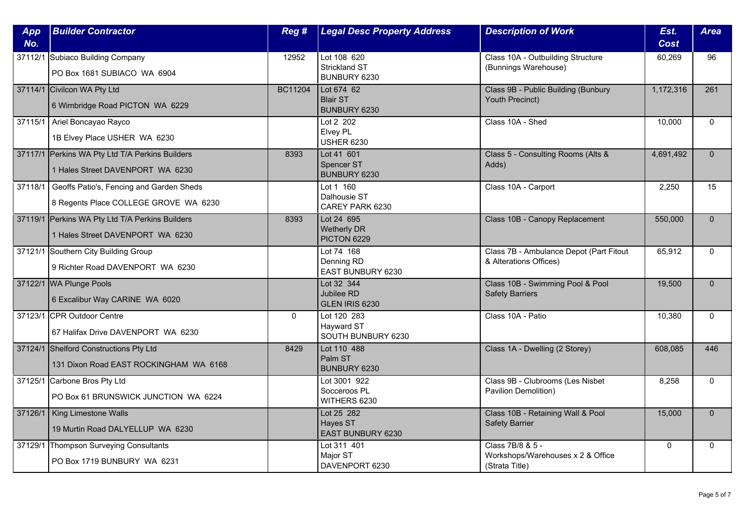| App<br>No. | <b>Builder Contractor</b>                                                           | Reg#        | <b>Legal Desc Property Address</b>              | <b>Description of Work</b>                                              | Est.<br><b>Cost</b> | <b>Area</b>  |
|------------|-------------------------------------------------------------------------------------|-------------|-------------------------------------------------|-------------------------------------------------------------------------|---------------------|--------------|
|            | 37112/1 Subiaco Building Company<br>PO Box 1681 SUBIACO WA 6904                     | 12952       | Lot 108 620<br>Strickland ST<br>BUNBURY 6230    | Class 10A - Outbuilding Structure<br>(Bunnings Warehouse)               | 60,269              | 96           |
|            | 37114/1 Civilcon WA Pty Ltd<br>6 Wimbridge Road PICTON WA 6229                      | BC11204     | Lot 674 62<br><b>Blair ST</b><br>BUNBURY 6230   | Class 9B - Public Building (Bunbury<br>Youth Precinct)                  | 1,172,316           | 261          |
| 37115/1    | Ariel Boncayao Rayco<br>1B Elvey Place USHER WA 6230                                |             | Lot 2 202<br>Elvey PL<br><b>USHER 6230</b>      | Class 10A - Shed                                                        | 10,000              | $\mathbf{0}$ |
|            | 37117/1 Perkins WA Pty Ltd T/A Perkins Builders<br>1 Hales Street DAVENPORT WA 6230 | 8393        | Lot 41 601<br><b>Spencer ST</b><br>BUNBURY 6230 | Class 5 - Consulting Rooms (Alts &<br>Adds)                             | 4,691,492           | $\Omega$     |
| 37118/1    | Geoffs Patio's, Fencing and Garden Sheds<br>8 Regents Place COLLEGE GROVE WA 6230   |             | Lot 1 160<br>Dalhousie ST<br>CAREY PARK 6230    | Class 10A - Carport                                                     | 2,250               | 15           |
|            | 37119/1 Perkins WA Pty Ltd T/A Perkins Builders<br>1 Hales Street DAVENPORT WA 6230 | 8393        | Lot 24 695<br>Wetherly DR<br>PICTON 6229        | Class 10B - Canopy Replacement                                          | 550,000             | $\Omega$     |
|            | 37121/1 Southern City Building Group<br>9 Richter Road DAVENPORT WA 6230            |             | Lot 74 168<br>Denning RD<br>EAST BUNBURY 6230   | Class 7B - Ambulance Depot (Part Fitout<br>& Alterations Offices)       | 65,912              | $\mathbf{0}$ |
|            | 37122/1 WA Plunge Pools<br>6 Excalibur Way CARINE WA 6020                           |             | Lot 32 344<br>Jubilee RD<br>GLEN IRIS 6230      | Class 10B - Swimming Pool & Pool<br><b>Safety Barriers</b>              | 19,500              | $\mathbf{0}$ |
|            | 37123/1 CPR Outdoor Centre<br>67 Halifax Drive DAVENPORT WA 6230                    | $\mathbf 0$ | Lot 120 283<br>Hayward ST<br>SOUTH BUNBURY 6230 | Class 10A - Patio                                                       | 10,380              | $\Omega$     |
|            | 37124/1 Shelford Constructions Pty Ltd<br>131 Dixon Road EAST ROCKINGHAM WA 6168    | 8429        | Lot 110 488<br>Palm ST<br>BUNBURY 6230          | Class 1A - Dwelling (2 Storey)                                          | 608,085             | 446          |
|            | 37125/1 Carbone Bros Pty Ltd<br>PO Box 61 BRUNSWICK JUNCTION WA 6224                |             | Lot 3001 922<br>Socceroos PL<br>WITHERS 6230    | Class 9B - Clubrooms (Les Nisbet<br>Pavilion Demolition)                | 8,258               | $\mathbf 0$  |
|            | 37126/1   King Limestone Walls<br>19 Murtin Road DALYELLUP WA 6230                  |             | Lot 25 282<br>Hayes ST<br>EAST BUNBURY 6230     | Class 10B - Retaining Wall & Pool<br><b>Safety Barrier</b>              | 15,000              | $\Omega$     |
| 37129/1    | Thompson Surveying Consultants<br>PO Box 1719 BUNBURY WA 6231                       |             | Lot 311 401<br>Major ST<br>DAVENPORT 6230       | Class 7B/8 & 5 -<br>Workshops/Warehouses x 2 & Office<br>(Strata Title) | $\pmb{0}$           | $\Omega$     |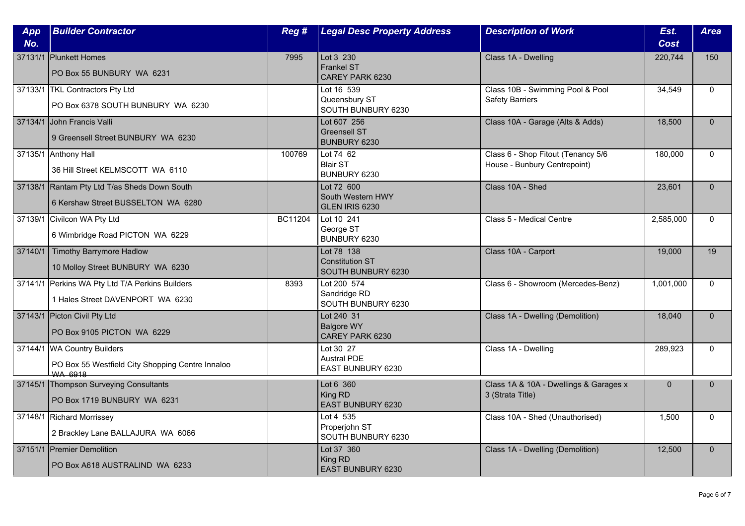| App<br>No. | <b>Builder Contractor</b>                                                                         | Reg #   | <b>Legal Desc Property Address</b>                         | <b>Description of Work</b>                                         | Est.<br><b>Cost</b> | <b>Area</b>  |
|------------|---------------------------------------------------------------------------------------------------|---------|------------------------------------------------------------|--------------------------------------------------------------------|---------------------|--------------|
|            | 37131/1 Plunkett Homes<br>PO Box 55 BUNBURY WA 6231                                               | 7995    | Lot 3 230<br><b>Frankel ST</b><br>CAREY PARK 6230          | Class 1A - Dwelling                                                | 220,744             | 150          |
|            | 37133/1 TKL Contractors Pty Ltd<br>PO Box 6378 SOUTH BUNBURY WA 6230                              |         | Lot 16 539<br>Queensbury ST<br>SOUTH BUNBURY 6230          | Class 10B - Swimming Pool & Pool<br><b>Safety Barriers</b>         | 34,549              | $\Omega$     |
|            | 37134/1 John Francis Valli<br>9 Greensell Street BUNBURY WA 6230                                  |         | Lot 607 256<br><b>Greensell ST</b><br>BUNBURY 6230         | Class 10A - Garage (Alts & Adds)                                   | 18,500              | $\Omega$     |
|            | 37135/1 Anthony Hall<br>36 Hill Street KELMSCOTT WA 6110                                          | 100769  | Lot 74 62<br><b>Blair ST</b><br>BUNBURY 6230               | Class 6 - Shop Fitout (Tenancy 5/6<br>House - Bunbury Centrepoint) | 180,000             | $\Omega$     |
|            | 37138/1 Rantam Pty Ltd T/as Sheds Down South<br>6 Kershaw Street BUSSELTON WA 6280                |         | Lot 72 600<br>South Western HWY<br>GLEN IRIS 6230          | Class 10A - Shed                                                   | 23.601              | $\Omega$     |
|            | 37139/1 Civilcon WA Pty Ltd<br>6 Wimbridge Road PICTON WA 6229                                    | BC11204 | Lot 10 241<br>George ST<br>BUNBURY 6230                    | Class 5 - Medical Centre                                           | 2,585,000           | $\Omega$     |
|            | 37140/1 Timothy Barrymore Hadlow<br>10 Molloy Street BUNBURY WA 6230                              |         | Lot 78 138<br><b>Constitution ST</b><br>SOUTH BUNBURY 6230 | Class 10A - Carport                                                | 19,000              | 19           |
|            | 37141/1 Perkins WA Pty Ltd T/A Perkins Builders<br>1 Hales Street DAVENPORT WA 6230               | 8393    | Lot 200 574<br>Sandridge RD<br>SOUTH BUNBURY 6230          | Class 6 - Showroom (Mercedes-Benz)                                 | 1,001,000           | $\Omega$     |
|            | 37143/1 Picton Civil Pty Ltd<br>PO Box 9105 PICTON WA 6229                                        |         | Lot 240 31<br><b>Balgore WY</b><br>CAREY PARK 6230         | Class 1A - Dwelling (Demolition)                                   | 18,040              | $\mathbf{0}$ |
|            | 37144/1 WA Country Builders<br>PO Box 55 Westfield City Shopping Centre Innaloo<br><b>WA 6918</b> |         | Lot 30 27<br><b>Austral PDE</b><br>EAST BUNBURY 6230       | Class 1A - Dwelling                                                | 289,923             | $\mathbf{0}$ |
|            | 37145/1 Thompson Surveying Consultants<br>PO Box 1719 BUNBURY WA 6231                             |         | Lot 6 360<br>King RD<br>EAST BUNBURY 6230                  | Class 1A & 10A - Dwellings & Garages x<br>3 (Strata Title)         | $\mathbf{0}$        | $\mathbf{0}$ |
|            | 37148/1 Richard Morrissey<br>2 Brackley Lane BALLAJURA WA 6066                                    |         | Lot 4 535<br>Properjohn ST<br>SOUTH BUNBURY 6230           | Class 10A - Shed (Unauthorised)                                    | 1,500               | $\mathbf{0}$ |
|            | 37151/1 Premier Demolition<br>PO Box A618 AUSTRALIND WA 6233                                      |         | Lot 37 360<br>King RD<br><b>EAST BUNBURY 6230</b>          | Class 1A - Dwelling (Demolition)                                   | 12,500              | $\Omega$     |